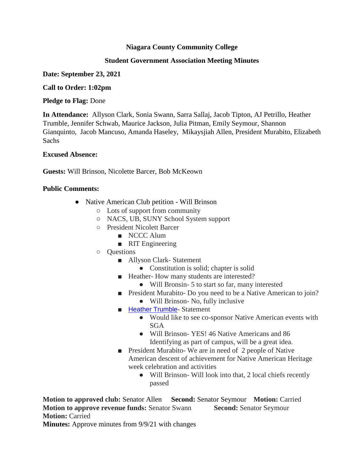# **Niagara County Community College**

# **Student Government Association Meeting Minutes**

## **Date: September 23, 2021**

## **Call to Order: 1:02pm**

## **Pledge to Flag:** Done

**In Attendance:** Allyson Clark, Sonia Swann, Sarra Sallaj, Jacob Tipton, AJ Petrillo, Heather Trumble, Jennifer Schwab, Maurice Jackson, Julia Pitman, Emily Seymour, Shannon Gianquinto, Jacob Mancuso, Amanda Haseley, Mikaysjiah Allen, President Murabito, Elizabeth Sachs

## **Excused Absence:**

**Guests:** Will Brinson, Nicolette Barcer, Bob McKeown

# **Public Comments:**

- Native American Club petition Will Brinson
	- Lots of support from community
	- NACS, UB, SUNY School System support
	- President Nicolett Barcer
		- NCCC Alum
		- RIT Engineering
	- Questions
		- Allyson Clark- Statement
			- Constitution is solid; chapter is solid
		- Heather- How many students are interested?
			- Will Bronsin- 5 to start so far, many interested
		- President Murabito- Do you need to be a Native American to join?
			- Will Brinson- No, fully inclusive
		- [Heather Trumble](mailto:hlsaba@niagaracc.suny.edu) Statement
			- Would like to see co-sponsor Native American events with SGA
			- Will Brinson- YES! 46 Native Americans and 86 Identifying as part of campus, will be a great idea.
		- President Murabito- We are in need of 2 people of Native American descent of achievement for Native American Heritage week celebration and activities
			- Will Brinson- Will look into that, 2 local chiefs recently passed

**Motion to approved club:** Senator Allen **Second:** Senator Seymour **Motion:** Carried **Motion to approve revenue funds: Senator Swann <b>Second: Senator Seymour Motion: Carried** 

**Minutes:** Approve minutes from 9/9/21 with changes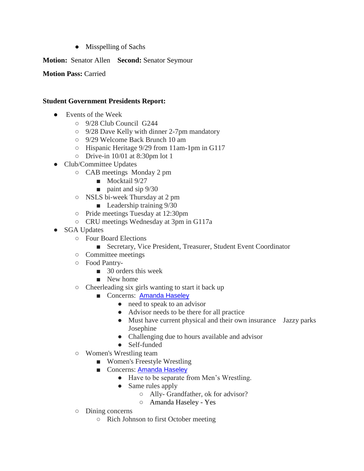● Misspelling of Sachs

**Motion:** Senator Allen **Second:** Senator Seymour

**Motion Pass:** Carried

# **Student Government Presidents Report:**

- Events of the Week
	- 9/28 Club Council G244
	- 9/28 Dave Kelly with dinner 2-7pm mandatory
	- 9/29 Welcome Back Brunch 10 am
	- Hispanic Heritage 9/29 from 11am-1pm in G117
	- Drive-in 10/01 at 8:30pm lot 1
- Club/Committee Updates
	- CAB meetings Monday 2 pm
		- Mocktail 9/27
		- paint and sip 9/30
	- NSLS bi-week Thursday at 2 pm
		- Leadership training  $9/30$
	- Pride meetings Tuesday at 12:30pm
	- CRU meetings Wednesday at 3pm in G117a
- SGA Updates
	- Four Board Elections
		- Secretary, Vice President, Treasurer, Student Event Coordinator
	- Committee meetings
	- Food Pantry-
		- 30 orders this week
		- New home
	- Cheerleading six girls wanting to start it back up
		- Concerns: [Amanda Haseley](mailto:ahaseley@niagaracc.suny.edu)
			- need to speak to an advisor
			- Advisor needs to be there for all practice
			- Must have current physical and their own insurance Jazzy parks Josephine
			- Challenging due to hours available and advisor
			- Self-funded
	- Women's Wrestling team
		- Women's Freestyle Wrestling
		- Concerns: [Amanda Haseley](mailto:ahaseley@niagaracc.suny.edu)
			- Have to be separate from Men's Wrestling.
			- Same rules apply
				- Ally- Grandfather, ok for advisor?
				- Amanda Haseley Yes
	- Dining concerns
		- Rich Johnson to first October meeting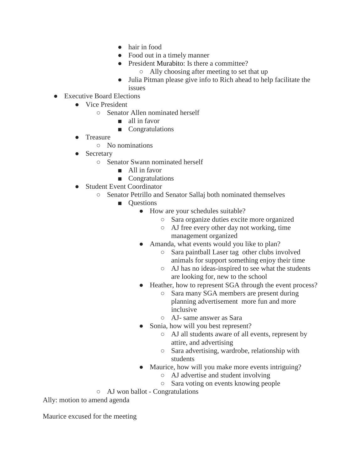- hair in food
- Food out in a timely manner
- President Murabito: Is there a committee?
	- Ally choosing after meeting to set that up
- Julia Pitman please give info to Rich ahead to help facilitate the issues
- Executive Board Elections
	- Vice President
		- Senator Allen nominated herself
			- all in favor
			- Congratulations
	- **Treasure** 
		- No nominations
	- Secretary
		- Senator Swann nominated herself
			- All in favor
			- Congratulations
	- Student Event Coordinator
		- Senator Petrillo and Senator Sallaj both nominated themselves
			- Questions
				- How are your schedules suitable?
					- Sara organize duties excite more organized
					- AJ free every other day not working, time management organized
				- Amanda, what events would you like to plan?
					- Sara paintball Laser tag other clubs involved animals for support something enjoy their time
					- AJ has no ideas-inspired to see what the students are looking for, new to the school
				- Heather, how to represent SGA through the event process?
					- Sara many SGA members are present during planning advertisement more fun and more inclusive
					- AJ- same answer as Sara
				- Sonia, how will you best represent?
					- AJ all students aware of all events, represent by attire, and advertising
					- Sara advertising, wardrobe, relationship with students
				- Maurice, how will you make more events intriguing?
					- AJ advertise and student involving
					- Sara voting on events knowing people

○ AJ won ballot - Congratulations

Ally: motion to amend agenda

Maurice excused for the meeting